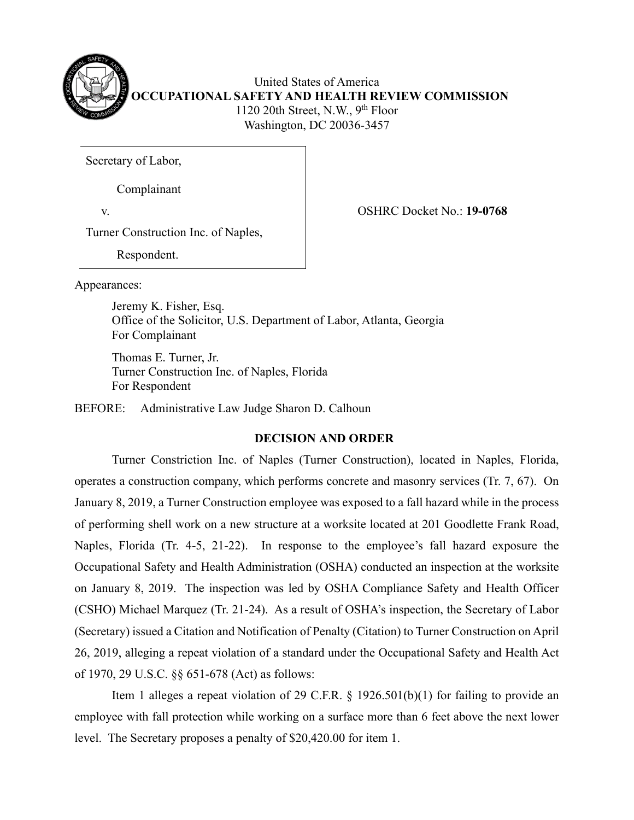

United States of America **OCCUPATIONAL SAFETY AND HEALTH REVIEW COMMISSION** 1120 20th Street, N.W.,  $9<sup>th</sup>$  Floor Washington, DC 20036-3457

Secretary of Labor,

Complainant

v. OSHRC Docket No.: **19-0768**

Turner Construction Inc. of Naples,

Respondent.

Appearances:

Jeremy K. Fisher, Esq. Office of the Solicitor, U.S. Department of Labor, Atlanta, Georgia For Complainant

 Thomas E. Turner, Jr. Turner Construction Inc. of Naples, Florida For Respondent

BEFORE: Administrative Law Judge Sharon D. Calhoun

# **DECISION AND ORDER**

Turner Constriction Inc. of Naples (Turner Construction), located in Naples, Florida, operates a construction company, which performs concrete and masonry services (Tr. 7, 67). On January 8, 2019, a Turner Construction employee was exposed to a fall hazard while in the process of performing shell work on a new structure at a worksite located at 201 Goodlette Frank Road, Naples, Florida (Tr. 4-5, 21-22). In response to the employee's fall hazard exposure the Occupational Safety and Health Administration (OSHA) conducted an inspection at the worksite on January 8, 2019. The inspection was led by OSHA Compliance Safety and Health Officer (CSHO) Michael Marquez (Tr. 21-24). As a result of OSHA's inspection, the Secretary of Labor (Secretary) issued a Citation and Notification of Penalty (Citation) to Turner Construction on April 26, 2019, alleging a repeat violation of a standard under the Occupational Safety and Health Act of 1970, 29 U.S.C. §§ 651-678 (Act) as follows:

Item 1 alleges a repeat violation of 29 C.F.R.  $\S$  1926.501(b)(1) for failing to provide an employee with fall protection while working on a surface more than 6 feet above the next lower level. The Secretary proposes a penalty of \$20,420.00 for item 1.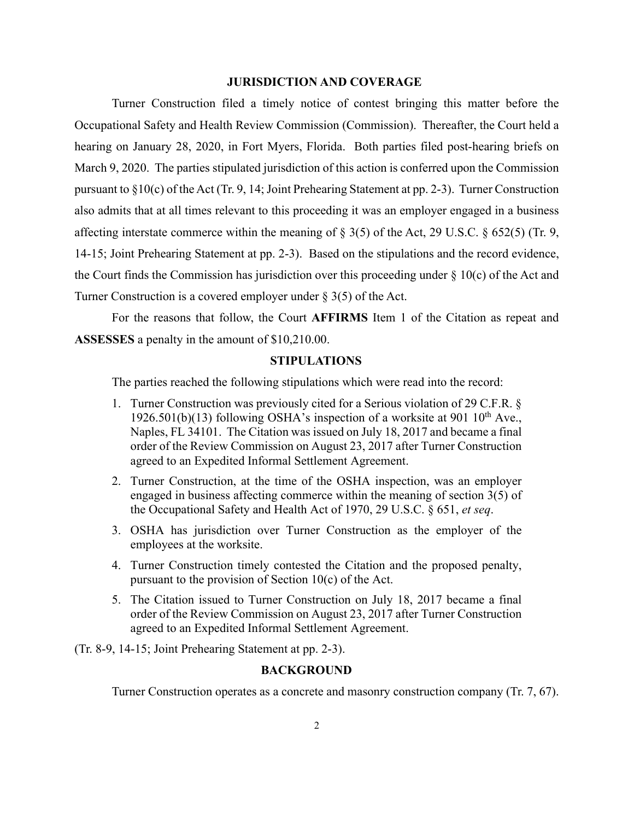## **JURISDICTION AND COVERAGE**

Turner Construction filed a timely notice of contest bringing this matter before the Occupational Safety and Health Review Commission (Commission). Thereafter, the Court held a hearing on January 28, 2020, in Fort Myers, Florida. Both parties filed post-hearing briefs on March 9, 2020. The parties stipulated jurisdiction of this action is conferred upon the Commission pursuant to §10(c) of the Act (Tr. 9, 14; Joint Prehearing Statement at pp. 2-3). Turner Construction also admits that at all times relevant to this proceeding it was an employer engaged in a business affecting interstate commerce within the meaning of § 3(5) of the Act, 29 U.S.C. § 652(5) (Tr. 9, 14-15; Joint Prehearing Statement at pp. 2-3). Based on the stipulations and the record evidence, the Court finds the Commission has jurisdiction over this proceeding under  $\S$  10(c) of the Act and Turner Construction is a covered employer under § 3(5) of the Act.

For the reasons that follow, the Court **AFFIRMS** Item 1 of the Citation as repeat and **ASSESSES** a penalty in the amount of \$10,210.00.

## **STIPULATIONS**

The parties reached the following stipulations which were read into the record:

- 1. Turner Construction was previously cited for a Serious violation of 29 C.F.R. § 1926.501(b)(13) following OSHA's inspection of a worksite at 901  $10^{th}$  Ave. Naples, FL 34101. The Citation was issued on July 18, 2017 and became a final order of the Review Commission on August 23, 2017 after Turner Construction agreed to an Expedited Informal Settlement Agreement.
- 2. Turner Construction, at the time of the OSHA inspection, was an employer engaged in business affecting commerce within the meaning of section 3(5) of the Occupational Safety and Health Act of 1970, 29 U.S.C. § 651, *et seq*.
- 3. OSHA has jurisdiction over Turner Construction as the employer of the employees at the worksite.
- 4. Turner Construction timely contested the Citation and the proposed penalty, pursuant to the provision of Section 10(c) of the Act.
- 5. The Citation issued to Turner Construction on July 18, 2017 became a final order of the Review Commission on August 23, 2017 after Turner Construction agreed to an Expedited Informal Settlement Agreement.
- (Tr. 8-9, 14-15; Joint Prehearing Statement at pp. 2-3).

# **BACKGROUND**

Turner Construction operates as a concrete and masonry construction company (Tr. 7, 67).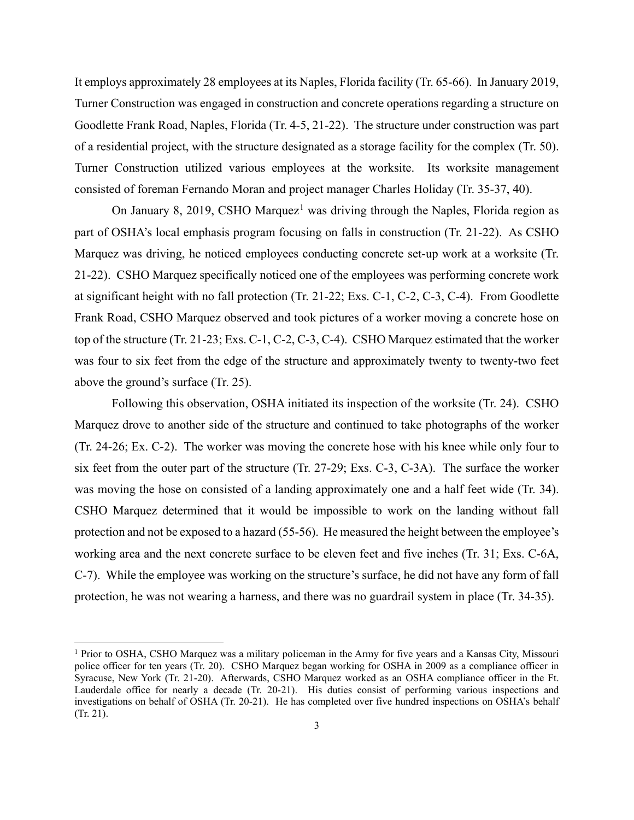It employs approximately 28 employees at its Naples, Florida facility (Tr. 65-66). In January 2019, Turner Construction was engaged in construction and concrete operations regarding a structure on Goodlette Frank Road, Naples, Florida (Tr. 4-5, 21-22). The structure under construction was part of a residential project, with the structure designated as a storage facility for the complex (Tr. 50). Turner Construction utilized various employees at the worksite. Its worksite management consisted of foreman Fernando Moran and project manager Charles Holiday (Tr. 35-37, 40).

On January 8, 20[1](#page-2-0)9, CSHO Marquez<sup>1</sup> was driving through the Naples, Florida region as part of OSHA's local emphasis program focusing on falls in construction (Tr. 21-22). As CSHO Marquez was driving, he noticed employees conducting concrete set-up work at a worksite (Tr. 21-22). CSHO Marquez specifically noticed one of the employees was performing concrete work at significant height with no fall protection (Tr. 21-22; Exs. C-1, C-2, C-3, C-4). From Goodlette Frank Road, CSHO Marquez observed and took pictures of a worker moving a concrete hose on top of the structure (Tr. 21-23; Exs. C-1, C-2, C-3, C-4). CSHO Marquez estimated that the worker was four to six feet from the edge of the structure and approximately twenty to twenty-two feet above the ground's surface (Tr. 25).

Following this observation, OSHA initiated its inspection of the worksite (Tr. 24). CSHO Marquez drove to another side of the structure and continued to take photographs of the worker (Tr. 24-26; Ex. C-2). The worker was moving the concrete hose with his knee while only four to six feet from the outer part of the structure (Tr. 27-29; Exs. C-3, C-3A). The surface the worker was moving the hose on consisted of a landing approximately one and a half feet wide (Tr. 34). CSHO Marquez determined that it would be impossible to work on the landing without fall protection and not be exposed to a hazard (55-56). He measured the height between the employee's working area and the next concrete surface to be eleven feet and five inches (Tr. 31; Exs. C-6A, C-7). While the employee was working on the structure's surface, he did not have any form of fall protection, he was not wearing a harness, and there was no guardrail system in place (Tr. 34-35).

<span id="page-2-0"></span><sup>1</sup> Prior to OSHA, CSHO Marquez was a military policeman in the Army for five years and a Kansas City, Missouri police officer for ten years (Tr. 20). CSHO Marquez began working for OSHA in 2009 as a compliance officer in Syracuse, New York (Tr. 21-20). Afterwards, CSHO Marquez worked as an OSHA compliance officer in the Ft. Lauderdale office for nearly a decade (Tr. 20-21). His duties consist of performing various inspections and investigations on behalf of OSHA (Tr. 20-21). He has completed over five hundred inspections on OSHA's behalf (Tr. 21).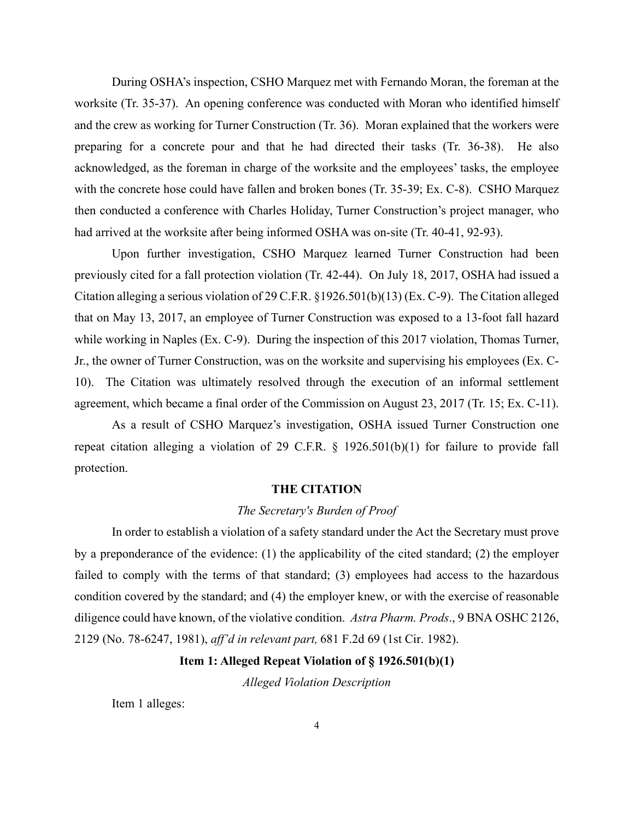During OSHA's inspection, CSHO Marquez met with Fernando Moran, the foreman at the worksite (Tr. 35-37). An opening conference was conducted with Moran who identified himself and the crew as working for Turner Construction (Tr. 36). Moran explained that the workers were preparing for a concrete pour and that he had directed their tasks (Tr. 36-38). He also acknowledged, as the foreman in charge of the worksite and the employees' tasks, the employee with the concrete hose could have fallen and broken bones (Tr. 35-39; Ex. C-8). CSHO Marquez then conducted a conference with Charles Holiday, Turner Construction's project manager, who had arrived at the worksite after being informed OSHA was on-site (Tr. 40-41, 92-93).

Upon further investigation, CSHO Marquez learned Turner Construction had been previously cited for a fall protection violation (Tr. 42-44). On July 18, 2017, OSHA had issued a Citation alleging a serious violation of 29 C.F.R. §1926.501(b)(13) (Ex. C-9). The Citation alleged that on May 13, 2017, an employee of Turner Construction was exposed to a 13-foot fall hazard while working in Naples (Ex. C-9). During the inspection of this 2017 violation, Thomas Turner, Jr., the owner of Turner Construction, was on the worksite and supervising his employees (Ex. C-10). The Citation was ultimately resolved through the execution of an informal settlement agreement, which became a final order of the Commission on August 23, 2017 (Tr. 15; Ex. C-11).

As a result of CSHO Marquez's investigation, OSHA issued Turner Construction one repeat citation alleging a violation of 29 C.F.R. § 1926.501(b)(1) for failure to provide fall protection.

#### **THE CITATION**

#### *The Secretary's Burden of Proof*

In order to establish a violation of a safety standard under the Act the Secretary must prove by a preponderance of the evidence: (1) the applicability of the cited standard; (2) the employer failed to comply with the terms of that standard; (3) employees had access to the hazardous condition covered by the standard; and (4) the employer knew, or with the exercise of reasonable diligence could have known, of the violative condition. *Astra Pharm. Prods*., 9 BNA OSHC 2126, 2129 (No. 78-6247, 1981), *aff'd in relevant part,* 681 F.2d 69 (1st Cir. 1982).

# **Item 1: Alleged Repeat Violation of § 1926.501(b)(1)**

*Alleged Violation Description* 

Item 1 alleges: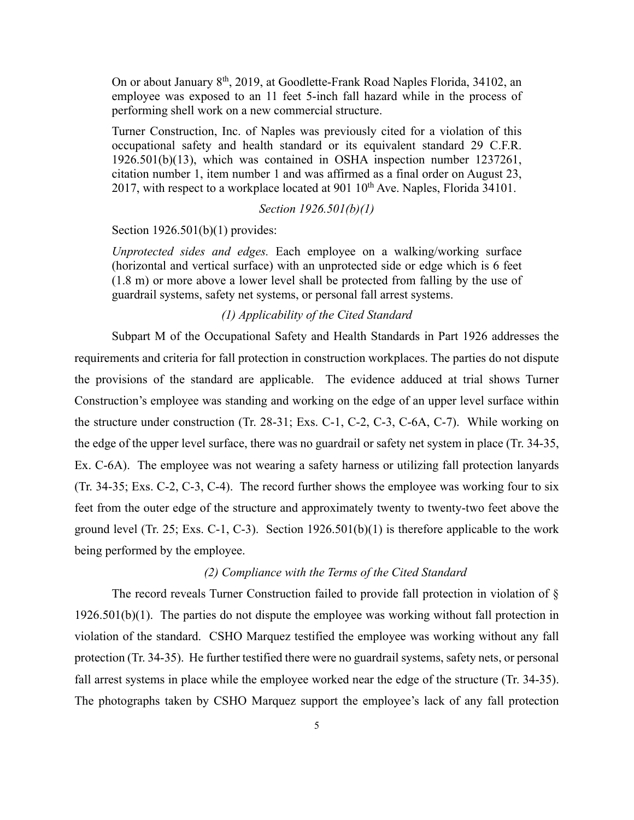On or about January 8<sup>th</sup>, 2019, at Goodlette-Frank Road Naples Florida, 34102, an employee was exposed to an 11 feet 5-inch fall hazard while in the process of performing shell work on a new commercial structure.

Turner Construction, Inc. of Naples was previously cited for a violation of this occupational safety and health standard or its equivalent standard 29 C.F.R. 1926.501(b)(13), which was contained in OSHA inspection number 1237261, citation number 1, item number 1 and was affirmed as a final order on August 23, 2017, with respect to a workplace located at 901  $10^{th}$  Ave. Naples, Florida  $34101$ .

## *Section 1926.501(b)(1)*

Section 1926.501(b)(1) provides:

*Unprotected sides and edges.* Each employee on a walking/working surface (horizontal and vertical surface) with an unprotected side or edge which is 6 feet (1.8 m) or more above a lower level shall be protected from falling by the use of guardrail systems, safety net systems, or personal fall arrest systems.

# *(1) Applicability of the Cited Standard*

 Subpart M of the Occupational Safety and Health Standards in Part 1926 addresses the requirements and criteria for fall protection in construction workplaces. The parties do not dispute the provisions of the standard are applicable. The evidence adduced at trial shows Turner Construction's employee was standing and working on the edge of an upper level surface within the structure under construction (Tr. 28-31; Exs. C-1, C-2, C-3, C-6A, C-7). While working on the edge of the upper level surface, there was no guardrail or safety net system in place (Tr. 34-35, Ex. C-6A). The employee was not wearing a safety harness or utilizing fall protection lanyards (Tr. 34-35; Exs. C-2, C-3, C-4). The record further shows the employee was working four to six feet from the outer edge of the structure and approximately twenty to twenty-two feet above the ground level (Tr. 25; Exs. C-1, C-3). Section 1926.501(b)(1) is therefore applicable to the work being performed by the employee.

# *(2) Compliance with the Terms of the Cited Standard*

The record reveals Turner Construction failed to provide fall protection in violation of § 1926.501(b)(1). The parties do not dispute the employee was working without fall protection in violation of the standard. CSHO Marquez testified the employee was working without any fall protection (Tr. 34-35). He further testified there were no guardrail systems, safety nets, or personal fall arrest systems in place while the employee worked near the edge of the structure (Tr. 34-35). The photographs taken by CSHO Marquez support the employee's lack of any fall protection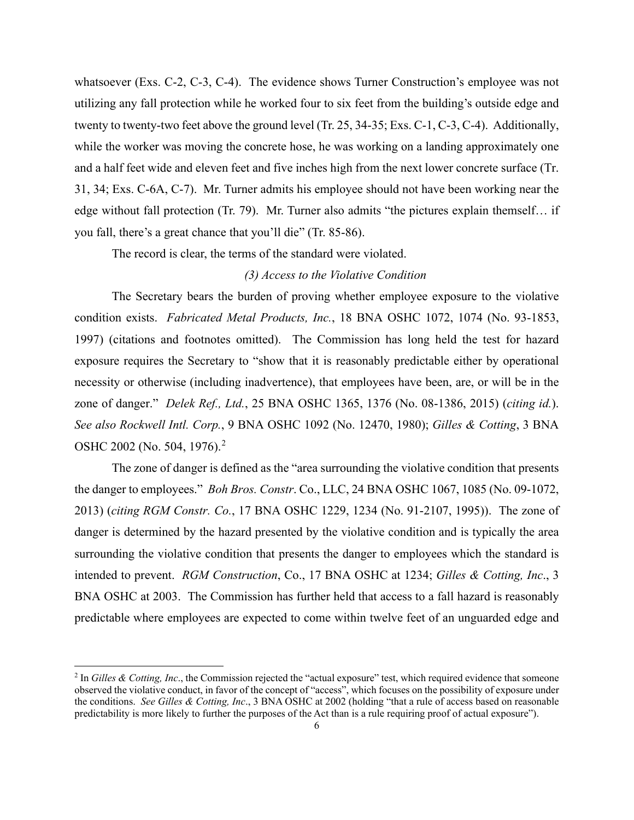whatsoever (Exs. C-2, C-3, C-4). The evidence shows Turner Construction's employee was not utilizing any fall protection while he worked four to six feet from the building's outside edge and twenty to twenty-two feet above the ground level (Tr. 25, 34-35; Exs. C-1, C-3, C-4). Additionally, while the worker was moving the concrete hose, he was working on a landing approximately one and a half feet wide and eleven feet and five inches high from the next lower concrete surface (Tr. 31, 34; Exs. C-6A, C-7). Mr. Turner admits his employee should not have been working near the edge without fall protection (Tr. 79). Mr. Turner also admits "the pictures explain themself… if you fall, there's a great chance that you'll die" (Tr. 85-86).

The record is clear, the terms of the standard were violated.

# *(3) Access to the Violative Condition*

The Secretary bears the burden of proving whether employee exposure to the violative condition exists. *Fabricated Metal Products, Inc.*, 18 BNA OSHC 1072, 1074 (No. 93-1853, 1997) (citations and footnotes omitted). The Commission has long held the test for hazard exposure requires the Secretary to "show that it is reasonably predictable either by operational necessity or otherwise (including inadvertence), that employees have been, are, or will be in the zone of danger." *Delek Ref., Ltd.*, 25 BNA OSHC 1365, 1376 (No. 08-1386, 2015) (*citing id.*). *See also Rockwell Intl. Corp.*, 9 BNA OSHC 1092 (No. 12470, 1980); *Gilles & Cotting*, 3 BNA OSHC [2](#page-5-0)002 (No. 504, 1976).<sup>2</sup>

The zone of danger is defined as the "area surrounding the violative condition that presents the danger to employees." *Boh Bros. Constr*. Co., LLC, 24 BNA OSHC 1067, 1085 (No. 09-1072, 2013) (*citing RGM Constr. Co.*, 17 BNA OSHC 1229, 1234 (No. 91-2107, 1995)). The zone of danger is determined by the hazard presented by the violative condition and is typically the area surrounding the violative condition that presents the danger to employees which the standard is intended to prevent. *RGM Construction*, Co., 17 BNA OSHC at 1234; *Gilles & Cotting, Inc*., 3 BNA OSHC at 2003. The Commission has further held that access to a fall hazard is reasonably predictable where employees are expected to come within twelve feet of an unguarded edge and

<span id="page-5-0"></span> $2$  In *Gilles & Cotting, Inc.*, the Commission rejected the "actual exposure" test, which required evidence that someone observed the violative conduct, in favor of the concept of "access", which focuses on the possibility of exposure under the conditions. *See Gilles & Cotting, Inc*., 3 BNA OSHC at 2002 (holding "that a rule of access based on reasonable predictability is more likely to further the purposes of the Act than is a rule requiring proof of actual exposure").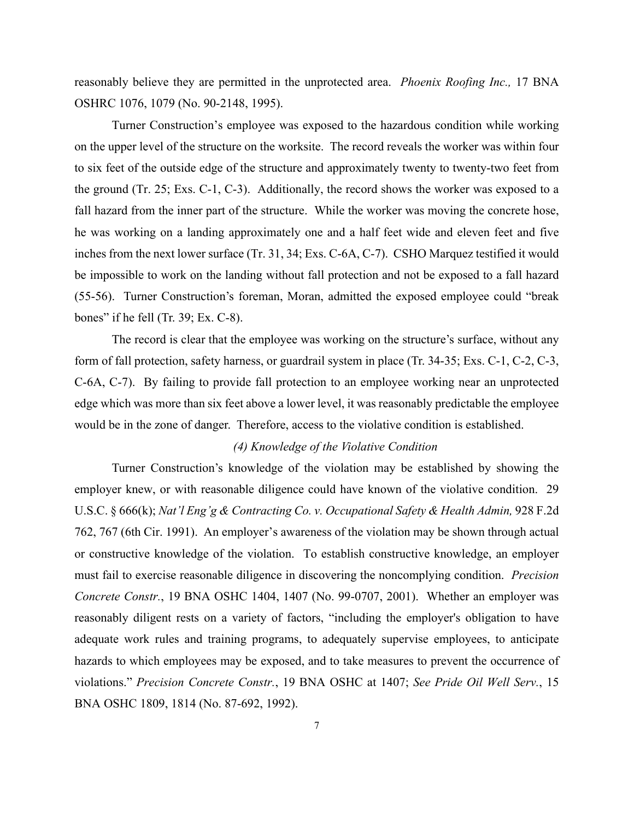reasonably believe they are permitted in the unprotected area. *Phoenix Roofing Inc.,* 17 BNA OSHRC 1076, 1079 (No. 90-2148, 1995).

Turner Construction's employee was exposed to the hazardous condition while working on the upper level of the structure on the worksite. The record reveals the worker was within four to six feet of the outside edge of the structure and approximately twenty to twenty-two feet from the ground (Tr. 25; Exs. C-1, C-3). Additionally, the record shows the worker was exposed to a fall hazard from the inner part of the structure. While the worker was moving the concrete hose, he was working on a landing approximately one and a half feet wide and eleven feet and five inches from the next lower surface (Tr. 31, 34; Exs. C-6A, C-7). CSHO Marquez testified it would be impossible to work on the landing without fall protection and not be exposed to a fall hazard (55-56). Turner Construction's foreman, Moran, admitted the exposed employee could "break bones" if he fell (Tr. 39; Ex. C-8).

The record is clear that the employee was working on the structure's surface, without any form of fall protection, safety harness, or guardrail system in place (Tr. 34-35; Exs. C-1, C-2, C-3, C-6A, C-7). By failing to provide fall protection to an employee working near an unprotected edge which was more than six feet above a lower level, it was reasonably predictable the employee would be in the zone of danger. Therefore, access to the violative condition is established.

## *(4) Knowledge of the Violative Condition*

Turner Construction's knowledge of the violation may be established by showing the employer knew, or with reasonable diligence could have known of the violative condition. 29 U.S.C. § 666(k); *Nat'l Eng'g & Contracting Co. v. Occupational Safety & Health Admin*, 928 F.2d 762, 767 (6th Cir. 1991). An employer's awareness of the violation may be shown through actual or constructive knowledge of the violation. To establish constructive knowledge, an employer must fail to exercise reasonable diligence in discovering the noncomplying condition. *Precision Concrete Constr.*, 19 BNA OSHC 1404, 1407 (No. 99-0707, 2001). Whether an employer was reasonably diligent rests on a variety of factors, "including the employer's obligation to have adequate work rules and training programs, to adequately supervise employees, to anticipate hazards to which employees may be exposed, and to take measures to prevent the occurrence of violations." *Precision Concrete Constr.*, 19 BNA OSHC at 1407; *See Pride Oil Well Serv.*, 15 BNA OSHC 1809, 1814 (No. 87-692, 1992).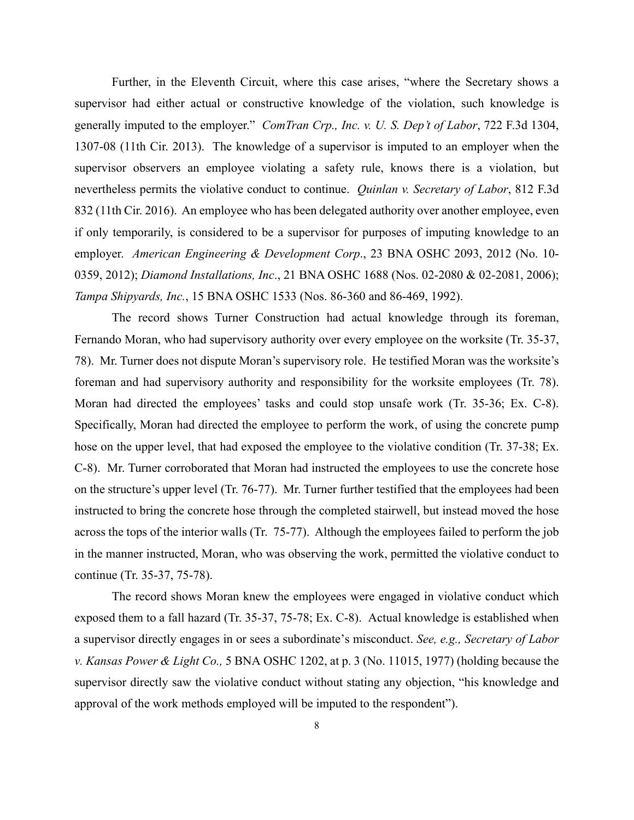Further, in the Eleventh Circuit, where this case arises, "where the Secretary shows a supervisor had either actual or constructive knowledge of the violation, such knowledge is generally imputed to the employer." *ComTran Crp., Inc. v. U. S. Dep't of Labor*, 722 F.3d 1304, 1307-08 (11th Cir. 2013). The knowledge of a supervisor is imputed to an employer when the supervisor observers an employee violating a safety rule, knows there is a violation, but nevertheless permits the violative conduct to continue. *Quinlan v. Secretary of Labor*, 812 F.3d 832 (11th Cir. 2016). An employee who has been delegated authority over another employee, even if only temporarily, is considered to be a supervisor for purposes of imputing knowledge to an employer. *American Engineering & Development Corp*., 23 BNA OSHC 2093, 2012 (No. 10- 0359, 2012); *Diamond Installations, Inc*., 21 BNA OSHC 1688 (Nos. 02-2080 & 02-2081, 2006); *Tampa Shipyards, Inc.*, 15 BNA OSHC 1533 (Nos. 86-360 and 86-469, 1992).

The record shows Turner Construction had actual knowledge through its foreman, Fernando Moran, who had supervisory authority over every employee on the worksite (Tr. 35-37, 78). Mr. Turner does not dispute Moran's supervisory role. He testified Moran was the worksite's foreman and had supervisory authority and responsibility for the worksite employees (Tr. 78). Moran had directed the employees' tasks and could stop unsafe work (Tr. 35-36; Ex. C-8). Specifically, Moran had directed the employee to perform the work, of using the concrete pump hose on the upper level, that had exposed the employee to the violative condition (Tr. 37-38; Ex. C-8). Mr. Turner corroborated that Moran had instructed the employees to use the concrete hose on the structure's upper level (Tr. 76-77). Mr. Turner further testified that the employees had been instructed to bring the concrete hose through the completed stairwell, but instead moved the hose across the tops of the interior walls (Tr. 75-77). Although the employees failed to perform the job in the manner instructed, Moran, who was observing the work, permitted the violative conduct to continue (Tr. 35-37, 75-78).

The record shows Moran knew the employees were engaged in violative conduct which exposed them to a fall hazard (Tr. 35-37, 75-78; Ex. C-8). Actual knowledge is established when a supervisor directly engages in or sees a subordinate's misconduct. *See, e.g., Secretary of Labor v. Kansas Power & Light Co.,* 5 BNA OSHC 1202, at p. 3 (No. 11015, 1977) (holding because the supervisor directly saw the violative conduct without stating any objection, "his knowledge and approval of the work methods employed will be imputed to the respondent").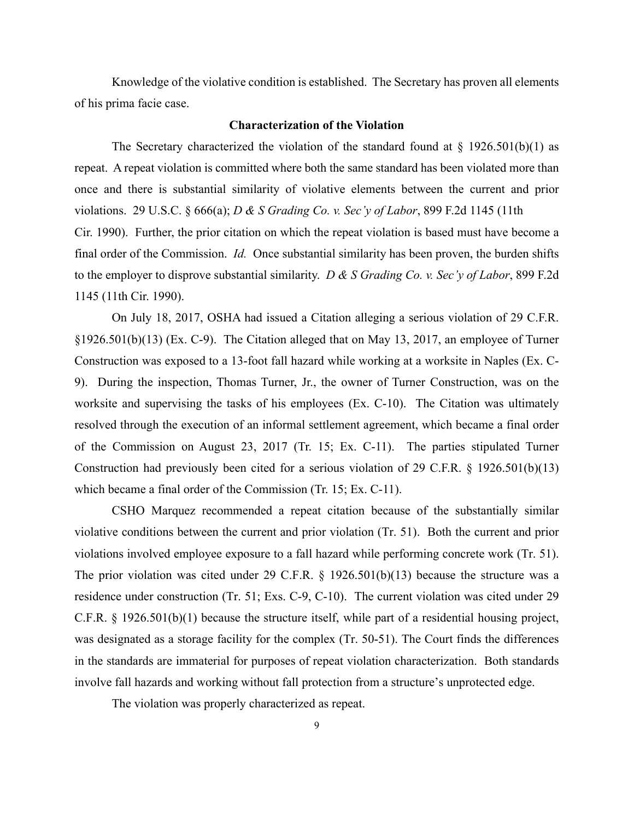Knowledge of the violative condition is established. The Secretary has proven all elements of his prima facie case.

#### **Characterization of the Violation**

The Secretary characterized the violation of the standard found at  $\S$  1926.501(b)(1) as repeat. A repeat violation is committed where both the same standard has been violated more than once and there is substantial similarity of violative elements between the current and prior violations. 29 U.S.C. § 666(a); *D & S Grading Co. v. Sec'y of Labor*, 899 F.2d 1145 (11th Cir. 1990). Further, the prior citation on which the repeat violation is based must have become a final order of the Commission. *Id.* Once substantial similarity has been proven, the burden shifts to the employer to disprove substantial similarity. *D & S Grading Co. v. Sec'y of Labor*, 899 F.2d 1145 (11th Cir. 1990).

On July 18, 2017, OSHA had issued a Citation alleging a serious violation of 29 C.F.R. §1926.501(b)(13) (Ex. C-9). The Citation alleged that on May 13, 2017, an employee of Turner Construction was exposed to a 13-foot fall hazard while working at a worksite in Naples (Ex. C-9). During the inspection, Thomas Turner, Jr., the owner of Turner Construction, was on the worksite and supervising the tasks of his employees (Ex. C-10). The Citation was ultimately resolved through the execution of an informal settlement agreement, which became a final order of the Commission on August 23, 2017 (Tr. 15; Ex. C-11). The parties stipulated Turner Construction had previously been cited for a serious violation of 29 C.F.R. § 1926.501(b)(13) which became a final order of the Commission (Tr. 15; Ex. C-11).

CSHO Marquez recommended a repeat citation because of the substantially similar violative conditions between the current and prior violation (Tr. 51). Both the current and prior violations involved employee exposure to a fall hazard while performing concrete work (Tr. 51). The prior violation was cited under 29 C.F.R. § 1926.501(b)(13) because the structure was a residence under construction (Tr. 51; Exs. C-9, C-10). The current violation was cited under 29 C.F.R. § 1926.501(b)(1) because the structure itself, while part of a residential housing project, was designated as a storage facility for the complex (Tr. 50-51). The Court finds the differences in the standards are immaterial for purposes of repeat violation characterization. Both standards involve fall hazards and working without fall protection from a structure's unprotected edge.

The violation was properly characterized as repeat.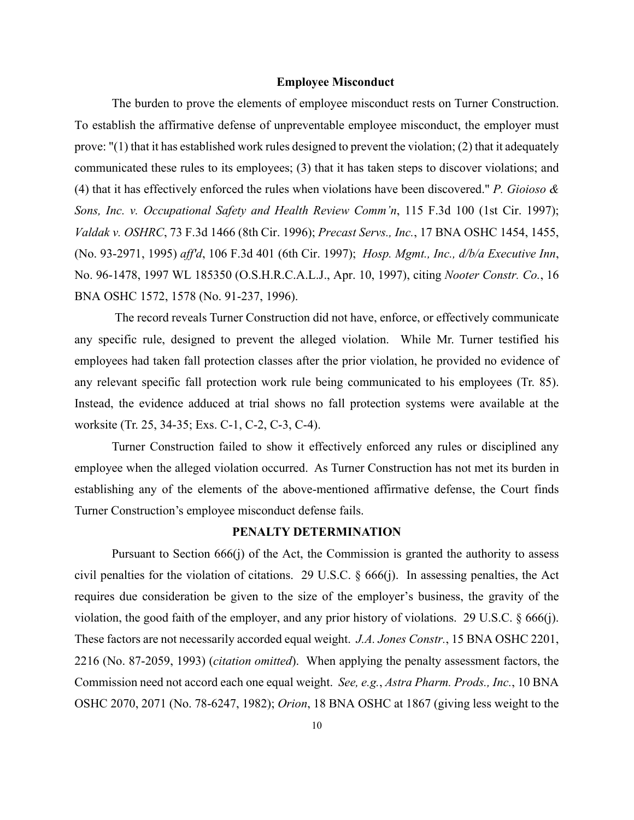#### **Employee Misconduct**

The burden to prove the elements of employee misconduct rests on Turner Construction. To establish the affirmative defense of unpreventable employee misconduct, the employer must prove: "(1) that it has established work rules designed to prevent the violation; (2) that it adequately communicated these rules to its employees; (3) that it has taken steps to discover violations; and (4) that it has effectively enforced the rules when violations have been discovered." *P. Gioioso & Sons, Inc. v. Occupational Safety and Health Review Comm'n*, 115 F.3d 100 (1st Cir. 1997); *Valdak v. OSHRC*, 73 F.3d 1466 (8th Cir. 1996); *Precast Servs., Inc.*, 17 BNA OSHC 1454, 1455, (No. 93-2971, 1995) *aff'd*, 106 F.3d 401 (6th Cir. 1997); *Hosp. Mgmt., Inc., d/b/a Executive Inn*, No. 96-1478, 1997 WL 185350 (O.S.H.R.C.A.L.J., Apr. 10, 1997), citing *Nooter Constr. Co.*, 16 BNA OSHC 1572, 1578 (No. 91-237, 1996).

The record reveals Turner Construction did not have, enforce, or effectively communicate any specific rule, designed to prevent the alleged violation. While Mr. Turner testified his employees had taken fall protection classes after the prior violation, he provided no evidence of any relevant specific fall protection work rule being communicated to his employees (Tr. 85). Instead, the evidence adduced at trial shows no fall protection systems were available at the worksite (Tr. 25, 34-35; Exs. C-1, C-2, C-3, C-4).

Turner Construction failed to show it effectively enforced any rules or disciplined any employee when the alleged violation occurred. As Turner Construction has not met its burden in establishing any of the elements of the above-mentioned affirmative defense, the Court finds Turner Construction's employee misconduct defense fails.

# **PENALTY DETERMINATION**

Pursuant to Section 666(j) of the Act, the Commission is granted the authority to assess civil penalties for the violation of citations. 29 U.S.C. § 666(j). In assessing penalties, the Act requires due consideration be given to the size of the employer's business, the gravity of the violation, the good faith of the employer, and any prior history of violations. [29 U.S.C. § 666\(j\).](https://1.next.westlaw.com/Link/Document/FullText?findType=L&pubNum=1000546&cite=29USCAS666&originatingDoc=Iec8e1f76fa3811d9bf60c1d57ebc853e&refType=RB&originationContext=document&transitionType=DocumentItem&contextData=(sc.DocLink)#co_pp_267600008f864) These factors are not necessarily accorded equal weight. *J.A. Jones Constr.*, 15 BNA OSHC 2201, 2216 (No. 87-2059, 1993) (*citation omitted*). When applying the penalty assessment factors, the Commission need not accord each one equal weight. *See, e.g.*, *Astra Pharm. Prods., Inc.*, 10 BNA OSHC 2070, 2071 (No. 78-6247, 1982); *Orion*, 18 BNA OSHC at 1867 (giving less weight to the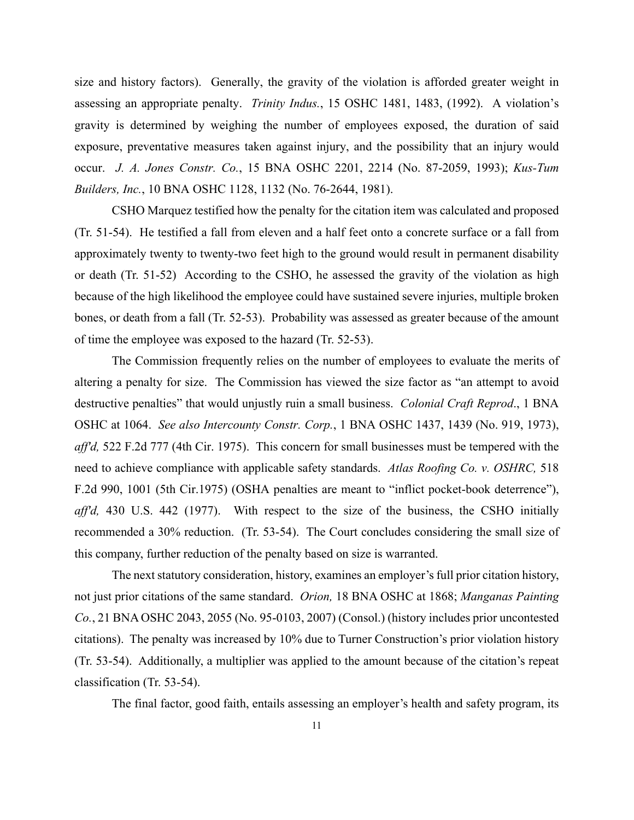size and history factors). Generally, the gravity of the violation is afforded greater weight in assessing an appropriate penalty. *Trinity Indus.*, 15 OSHC 1481, 1483, (1992). A violation's gravity is determined by weighing the number of employees exposed, the duration of said exposure, preventative measures taken against injury, and the possibility that an injury would occur. *J. A. Jones Constr. Co.*, 15 BNA OSHC 2201, 2214 (No. 87-2059, 1993); *Kus-Tum Builders, Inc.*, 10 BNA OSHC 1128, 1132 (No. 76-2644, 1981).

CSHO Marquez testified how the penalty for the citation item was calculated and proposed (Tr. 51-54). He testified a fall from eleven and a half feet onto a concrete surface or a fall from approximately twenty to twenty-two feet high to the ground would result in permanent disability or death (Tr. 51-52) According to the CSHO, he assessed the gravity of the violation as high because of the high likelihood the employee could have sustained severe injuries, multiple broken bones, or death from a fall (Tr. 52-53). Probability was assessed as greater because of the amount of time the employee was exposed to the hazard (Tr. 52-53).

The Commission frequently relies on the number of employees to evaluate the merits of altering a penalty for size. The Commission has viewed the size factor as "an attempt to avoid destructive penalties" that would unjustly ruin a small business. *Colonial Craft Reprod*., 1 BNA OSHC at 1064. *See also Intercounty Constr. Corp.*, 1 BNA OSHC 1437, 1439 (No. 919, 1973), *aff'd,* 522 F.2d 777 (4th Cir. 1975). This concern for small businesses must be tempered with the need to achieve compliance with applicable safety standards. *Atlas Roofing Co. v. OSHRC,* 518 F.2d 990, 1001 (5th Cir.1975) (OSHA penalties are meant to "inflict pocket-book deterrence"), *aff'd,* 430 U.S. 442 (1977). With respect to the size of the business, the CSHO initially recommended a 30% reduction. (Tr. 53-54). The Court concludes considering the small size of this company, further reduction of the penalty based on size is warranted.

The next statutory consideration, history, examines an employer's full prior citation history, not just prior citations of the same standard. *Orion,* 18 BNA OSHC at 1868; *Manganas Painting Co.*, 21 BNA OSHC 2043, 2055 (No. 95-0103, 2007) (Consol.) (history includes prior uncontested citations). The penalty was increased by 10% due to Turner Construction's prior violation history (Tr. 53-54). Additionally, a multiplier was applied to the amount because of the citation's repeat classification (Tr. 53-54).

The final factor, good faith, entails assessing an employer's health and safety program, its